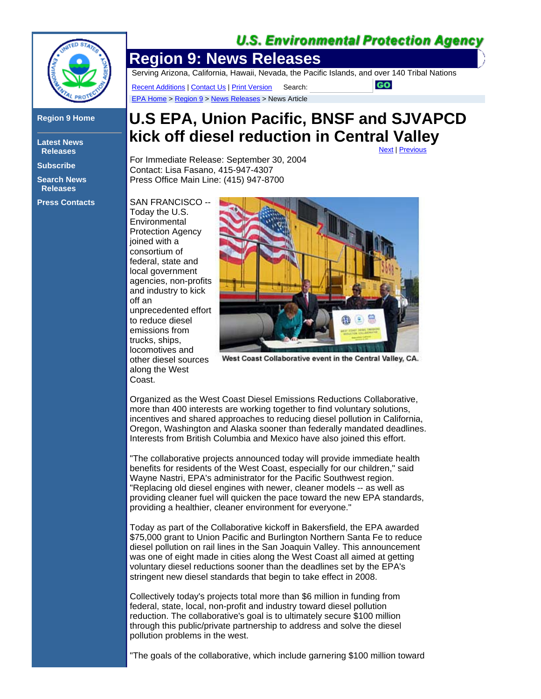## **U.S. Environmental Protection Agency**



## **Region 9 Home**

**Latest News Releases**

**Subscribe**

**Search News Releases**

**Press Contacts**

**Region 9: News Releases** 

Serving Arizona, California, Hawaii, Nevada, the Pacific Islands, and over 140 Tribal Nations

Recent Additions | Contact Us | Print Version Search: EPA Home > Region 9 > News Releases > News Article

## **U.S EPA, Union Pacific, BNSF and SJVAPCD kick off diesel reduction in Central Valley**

For Immediate Release: September 30, 2004 Contact: Lisa Fasano, 415-947-4307 Press Office Main Line: (415) 947-8700

SAN FRANCISCO -- Today the U.S. **Environmental** Protection Agency joined with a consortium of federal, state and local government agencies, non-profits and industry to kick off an unprecedented effort to reduce diesel emissions from trucks, ships, locomotives and other diesel sources along the West Coast.



West Coast Collaborative event in the Central Valley, CA.

Organized as the West Coast Diesel Emissions Reductions Collaborative, more than 400 interests are working together to find voluntary solutions, incentives and shared approaches to reducing diesel pollution in California, Oregon, Washington and Alaska sooner than federally mandated deadlines. Interests from British Columbia and Mexico have also joined this effort.

"The collaborative projects announced today will provide immediate health benefits for residents of the West Coast, especially for our children," said Wayne Nastri, EPA's administrator for the Pacific Southwest region. "Replacing old diesel engines with newer, cleaner models -- as well as providing cleaner fuel will quicken the pace toward the new EPA standards, providing a healthier, cleaner environment for everyone."

Today as part of the Collaborative kickoff in Bakersfield, the EPA awarded \$75,000 grant to Union Pacific and Burlington Northern Santa Fe to reduce diesel pollution on rail lines in the San Joaquin Valley. This announcement was one of eight made in cities along the West Coast all aimed at getting voluntary diesel reductions sooner than the deadlines set by the EPA's stringent new diesel standards that begin to take effect in 2008.

Collectively today's projects total more than \$6 million in funding from federal, state, local, non-profit and industry toward diesel pollution reduction. The collaborative's goal is to ultimately secure \$100 million through this public/private partnership to address and solve the diesel pollution problems in the west.

"The goals of the collaborative, which include garnering \$100 million toward

Next | Previous

**GO**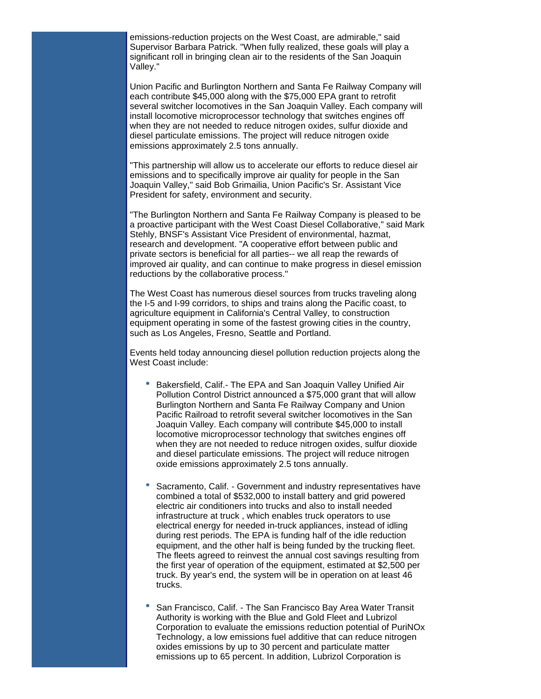emissions-reduction projects on the West Coast, are admirable," said Supervisor Barbara Patrick. "When fully realized, these goals will play a significant roll in bringing clean air to the residents of the San Joaquin Valley."

Union Pacific and Burlington Northern and Santa Fe Railway Company will each contribute \$45,000 along with the \$75,000 EPA grant to retrofit several switcher locomotives in the San Joaquin Valley. Each company will install locomotive microprocessor technology that switches engines off when they are not needed to reduce nitrogen oxides, sulfur dioxide and diesel particulate emissions. The project will reduce nitrogen oxide emissions approximately 2.5 tons annually.

"This partnership will allow us to accelerate our efforts to reduce diesel air emissions and to specifically improve air quality for people in the San Joaquin Valley," said Bob Grimailia, Union Pacific's Sr. Assistant Vice President for safety, environment and security.

"The Burlington Northern and Santa Fe Railway Company is pleased to be a proactive participant with the West Coast Diesel Collaborative," said Mark Stehly, BNSF's Assistant Vice President of environmental, hazmat, research and development. "A cooperative effort between public and private sectors is beneficial for all parties-- we all reap the rewards of improved air quality, and can continue to make progress in diesel emission reductions by the collaborative process."

The West Coast has numerous diesel sources from trucks traveling along the I-5 and I-99 corridors, to ships and trains along the Pacific coast, to agriculture equipment in California's Central Valley, to construction equipment operating in some of the fastest growing cities in the country, such as Los Angeles, Fresno, Seattle and Portland.

Events held today announcing diesel pollution reduction projects along the West Coast include:

- Bakersfield, Calif.- The EPA and San Joaquin Valley Unified Air Pollution Control District announced a \$75,000 grant that will allow Burlington Northern and Santa Fe Railway Company and Union Pacific Railroad to retrofit several switcher locomotives in the San Joaquin Valley. Each company will contribute \$45,000 to install locomotive microprocessor technology that switches engines off when they are not needed to reduce nitrogen oxides, sulfur dioxide and diesel particulate emissions. The project will reduce nitrogen oxide emissions approximately 2.5 tons annually.
- Sacramento, Calif. Government and industry representatives have combined a total of \$532,000 to install battery and grid powered electric air conditioners into trucks and also to install needed infrastructure at truck , which enables truck operators to use electrical energy for needed in-truck appliances, instead of idling during rest periods. The EPA is funding half of the idle reduction equipment, and the other half is being funded by the trucking fleet. The fleets agreed to reinvest the annual cost savings resulting from the first year of operation of the equipment, estimated at \$2,500 per truck. By year's end, the system will be in operation on at least 46 trucks.
- San Francisco, Calif. The San Francisco Bay Area Water Transit Authority is working with the Blue and Gold Fleet and Lubrizol Corporation to evaluate the emissions reduction potential of PuriNOx Technology, a low emissions fuel additive that can reduce nitrogen oxides emissions by up to 30 percent and particulate matter emissions up to 65 percent. In addition, Lubrizol Corporation is